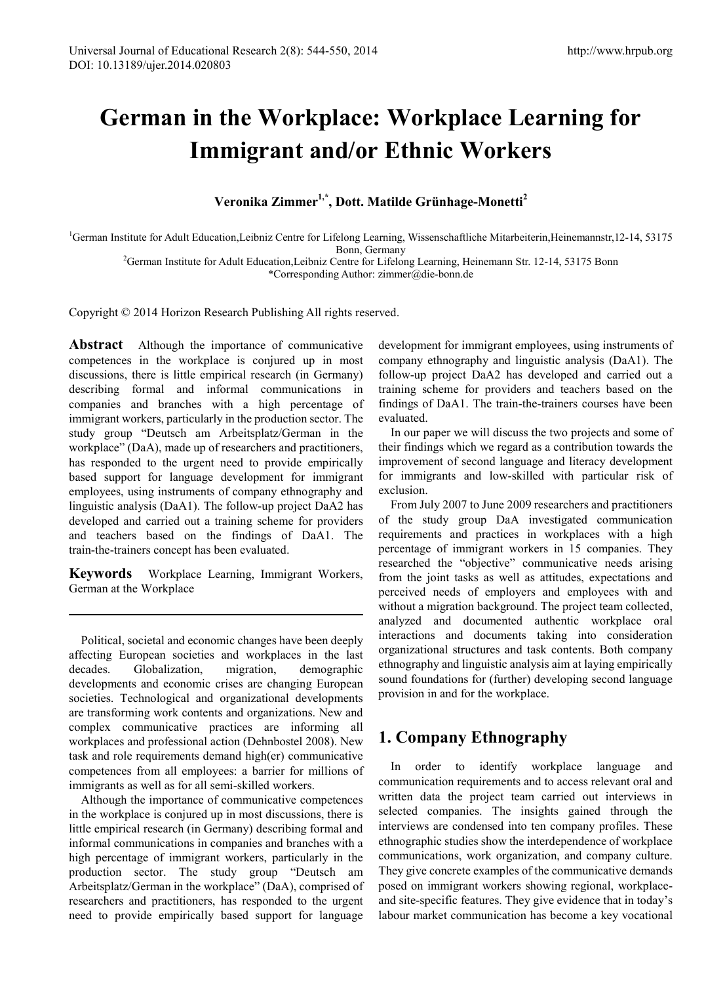# **German in the Workplace: Workplace Learning for Immigrant and/or Ethnic Workers**

**Veronika Zimmer1,\*, Dott. Matilde Grünhage-Monetti<sup>2</sup>**

<sup>1</sup>German Institute for Adult Education,Leibniz Centre for Lifelong Learning, Wissenschaftliche Mitarbeiterin,Heinemannstr,12-14, 53175

Bonn, Germany<br><sup>2</sup>German Institute for Adult Education,Leibniz Centre for Lifelong Learning, Heinemann Str. 12-14, 53175 Bonn<sup>2</sup> \*Corresponding Author: zimmer@die-bonn.de

Copyright © 2014 Horizon Research Publishing All rights reserved.

**Abstract** Although the importance of communicative competences in the workplace is conjured up in most discussions, there is little empirical research (in Germany) describing formal and informal communications in companies and branches with a high percentage of immigrant workers, particularly in the production sector. The study group "Deutsch am Arbeitsplatz/German in the workplace" (DaA), made up of researchers and practitioners, has responded to the urgent need to provide empirically based support for language development for immigrant employees, using instruments of company ethnography and linguistic analysis (DaA1). The follow-up project DaA2 has developed and carried out a training scheme for providers and teachers based on the findings of DaA1. The train-the-trainers concept has been evaluated.

**Keywords** Workplace Learning, Immigrant Workers, German at the Workplace

Political, societal and economic changes have been deeply affecting European societies and workplaces in the last decades. Globalization, migration, demographic developments and economic crises are changing European societies. Technological and organizational developments are transforming work contents and organizations. New and complex communicative practices are informing all workplaces and professional action (Dehnbostel 2008). New task and role requirements demand high(er) communicative competences from all employees: a barrier for millions of immigrants as well as for all semi-skilled workers.

<span id="page-0-0"></span>Although the importance of communicative competences in the workplace is conjured up in most discussions, there is little empirical research (in Germany) describing formal and informal communications in companies and branches with a high percentage of immigrant workers, particularly in the production sector. The study group "Deutsch am Arbeitsplatz/German in the workplace" (DaA), comprised of researchers and practitioners, has responded to the urgent need to provide empirically based support for language

development for immigrant employees, using instruments of company ethnography and linguistic analysis (DaA1). The follow-up project DaA2 has developed and carried out a training scheme for providers and teachers based on the findings of DaA1. The train-the-trainers courses have been evaluated.

In our paper we will discuss the two projects and some of their findings which we regard as a contribution towards the improvement of second language and literacy development for immigrants and low-skilled with particular risk of exclusion.

From July 2007 to June 2009 researchers and practitioners of the study group DaA investigated communication requirements and practices in workplaces with a high percentage of immigrant workers in 15 companies. They researched the "objective" communicative needs arising from the joint tasks as well as attitudes, expectations and perceived needs of employers and employees with and without a migration background. The project team collected, analyzed and documented authentic workplace oral interactions and documents taking into consideration organizational structures and task contents. Both company ethnography and linguistic analysis aim at laying empirically sound foundations for (further) developing second language provision in and for the workplace.

# **1. Company Ethnography**

In order to identify workplace language and communication requirements and to access relevant oral and written data the project team carried out interviews in selected companies. The insights gained through the interviews are condensed into ten company profiles. These ethnographic studies show the interdependence of workplace communications, work organization, and company culture. They give concrete examples of the communicative demands posed on immigrant workers showing regional, workplaceand site-specific features. They give evidence that in today's labour market communication has become a key vocational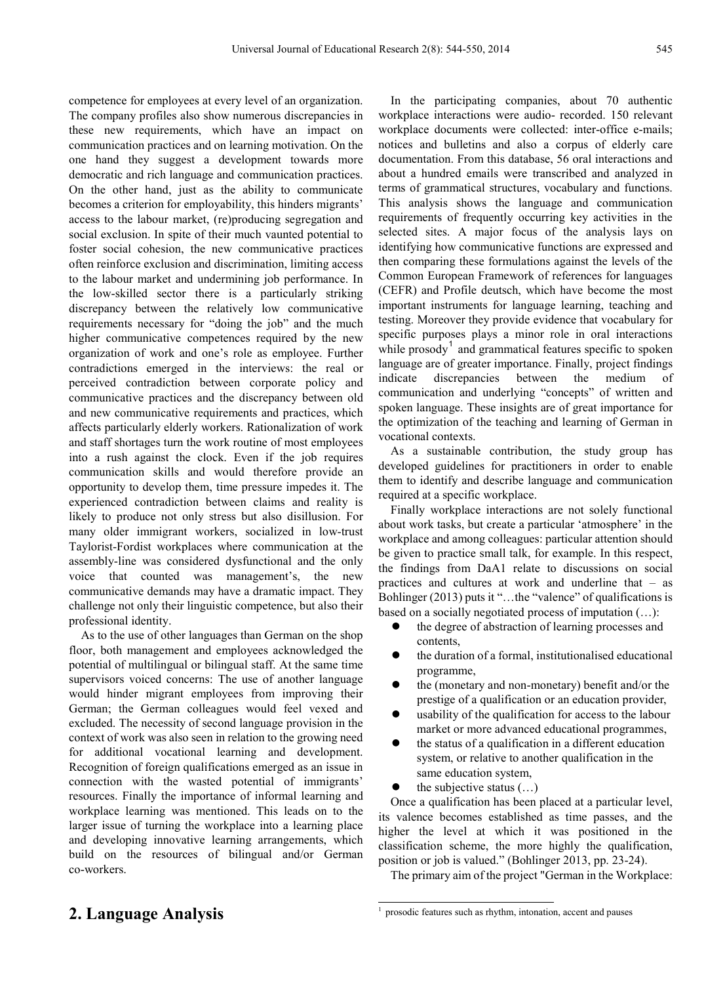competence for employees at every level of an organization. The company profiles also show numerous discrepancies in these new requirements, which have an impact on communication practices and on learning motivation. On the one hand they suggest a development towards more democratic and rich language and communication practices. On the other hand, just as the ability to communicate becomes a criterion for employability, this hinders migrants' access to the labour market, (re)producing segregation and social exclusion. In spite of their much vaunted potential to foster social cohesion, the new communicative practices often reinforce exclusion and discrimination, limiting access to the labour market and undermining job performance. In the low-skilled sector there is a particularly striking discrepancy between the relatively low communicative requirements necessary for "doing the job" and the much higher communicative competences required by the new organization of work and one's role as employee. Further contradictions emerged in the interviews: the real or perceived contradiction between corporate policy and communicative practices and the discrepancy between old and new communicative requirements and practices, which affects particularly elderly workers. Rationalization of work and staff shortages turn the work routine of most employees into a rush against the clock. Even if the job requires communication skills and would therefore provide an opportunity to develop them, time pressure impedes it. The experienced contradiction between claims and reality is likely to produce not only stress but also disillusion. For many older immigrant workers, socialized in low-trust Taylorist-Fordist workplaces where communication at the assembly-line was considered dysfunctional and the only voice that counted was management's, the new communicative demands may have a dramatic impact. They challenge not only their linguistic competence, but also their professional identity.

As to the use of other languages than German on the shop floor, both management and employees acknowledged the potential of multilingual or bilingual staff. At the same time supervisors voiced concerns: The use of another language would hinder migrant employees from improving their German; the German colleagues would feel vexed and excluded. The necessity of second language provision in the context of work was also seen in relation to the growing need for additional vocational learning and development. Recognition of foreign qualifications emerged as an issue in connection with the wasted potential of immigrants' resources. Finally the importance of informal learning and workplace learning was mentioned. This leads on to the larger issue of turning the workplace into a learning place and developing innovative learning arrangements, which build on the resources of bilingual and/or German co-workers.

In the participating companies, about 70 authentic workplace interactions were audio- recorded. 150 relevant workplace documents were collected: inter-office e-mails; notices and bulletins and also a corpus of elderly care documentation. From this database, 56 oral interactions and about a hundred emails were transcribed and analyzed in terms of grammatical structures, vocabulary and functions. This analysis shows the language and communication requirements of frequently occurring key activities in the selected sites. A major focus of the analysis lays on identifying how communicative functions are expressed and then comparing these formulations against the levels of the Common European Framework of references for languages (CEFR) and Profile deutsch, which have become the most important instruments for language learning, teaching and testing. Moreover they provide evidence that vocabulary for specific purposes plays a minor role in oral interactions while prosody<sup>[1](#page-0-0)</sup> and grammatical features specific to spoken language are of greater importance. Finally, project findings indicate discrepancies between the medium of communication and underlying "concepts" of written and spoken language. These insights are of great importance for the optimization of the teaching and learning of German in vocational contexts.

As a sustainable contribution, the study group has developed guidelines for practitioners in order to enable them to identify and describe language and communication required at a specific workplace.

Finally workplace interactions are not solely functional about work tasks, but create a particular 'atmosphere' in the workplace and among colleagues: particular attention should be given to practice small talk, for example. In this respect, the findings from DaA1 relate to discussions on social practices and cultures at work and underline that – as Bohlinger (2013) puts it "…the "valence" of qualifications is based on a socially negotiated process of imputation (…):

- the degree of abstraction of learning processes and contents,
- the duration of a formal, institutionalised educational programme,
- the (monetary and non-monetary) benefit and/or the prestige of a qualification or an education provider,
- usability of the qualification for access to the labour market or more advanced educational programmes,
- the status of a qualification in a different education system, or relative to another qualification in the same education system,
- the subjective status (…)

 $\frac{1}{2}$ 

Once a qualification has been placed at a particular level, its valence becomes established as time passes, and the higher the level at which it was positioned in the classification scheme, the more highly the qualification, position or job is valued." (Bohlinger 2013, pp. 23-24).

The primary aim of the project "German in the Workplace:

## **2. Language Analysis**

prosodic features such as rhythm, intonation, accent and pauses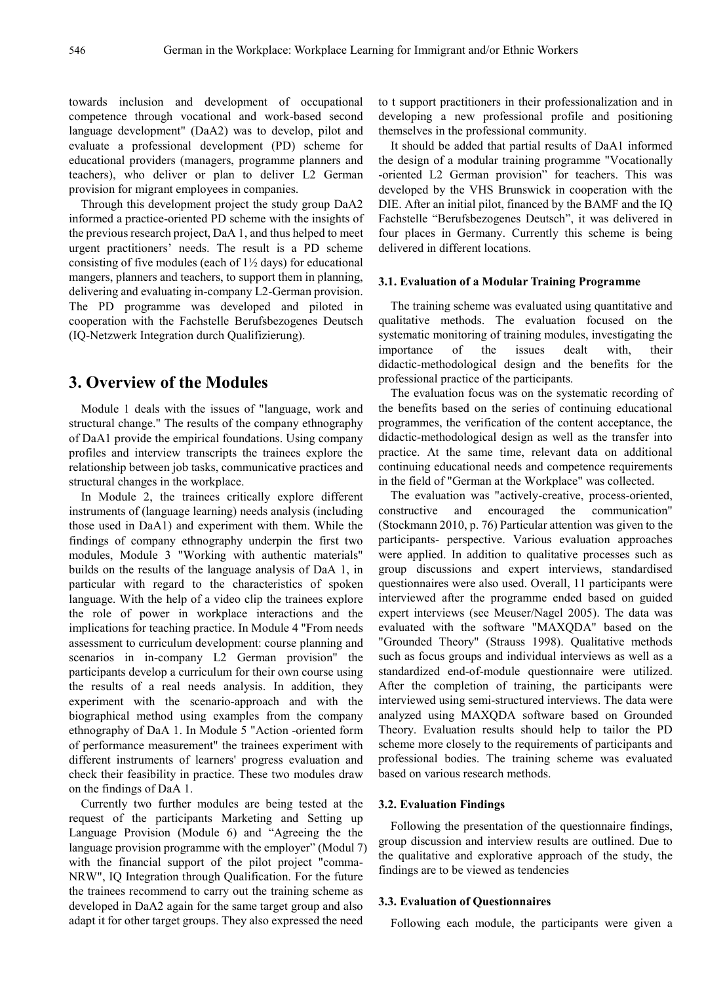towards inclusion and development of occupational competence through vocational and work-based second language development" (DaA2) was to develop, pilot and evaluate a professional development (PD) scheme for educational providers (managers, programme planners and teachers), who deliver or plan to deliver L2 German provision for migrant employees in companies.

Through this development project the study group DaA2 informed a practice-oriented PD scheme with the insights of the previous research project, DaA 1, and thus helped to meet urgent practitioners' needs. The result is a PD scheme consisting of five modules (each of  $1\frac{1}{2}$  days) for educational mangers, planners and teachers, to support them in planning, delivering and evaluating in-company L2-German provision. The PD programme was developed and piloted in cooperation with the Fachstelle Berufsbezogenes Deutsch (IQ-Netzwerk Integration durch Qualifizierung).

## **3. Overview of the Modules**

Module 1 deals with the issues of "language, work and structural change." The results of the company ethnography of DaA1 provide the empirical foundations. Using company profiles and interview transcripts the trainees explore the relationship between job tasks, communicative practices and structural changes in the workplace.

In Module 2, the trainees critically explore different instruments of (language learning) needs analysis (including those used in DaA1) and experiment with them. While the findings of company ethnography underpin the first two modules, Module 3 "Working with authentic materials" builds on the results of the language analysis of DaA 1, in particular with regard to the characteristics of spoken language. With the help of a video clip the trainees explore the role of power in workplace interactions and the implications for teaching practice. In Module 4 "From needs assessment to curriculum development: course planning and scenarios in in-company L2 German provision" the participants develop a curriculum for their own course using the results of a real needs analysis. In addition, they experiment with the scenario-approach and with the biographical method using examples from the company ethnography of DaA 1. In Module 5 "Action -oriented form of performance measurement" the trainees experiment with different instruments of learners' progress evaluation and check their feasibility in practice. These two modules draw on the findings of DaA 1.

Currently two further modules are being tested at the request of the participants Marketing and Setting up Language Provision (Module 6) and "Agreeing the the language provision programme with the employer" (Modul 7) with the financial support of the pilot project "comma-NRW", IQ Integration through Qualification. For the future the trainees recommend to carry out the training scheme as developed in DaA2 again for the same target group and also adapt it for other target groups. They also expressed the need

to t support practitioners in their professionalization and in developing a new professional profile and positioning themselves in the professional community.

It should be added that partial results of DaA1 informed the design of a modular training programme "Vocationally -oriented L2 German provision" for teachers. This was developed by the VHS Brunswick in cooperation with the DIE. After an initial pilot, financed by the BAMF and the IQ Fachstelle "Berufsbezogenes Deutsch", it was delivered in four places in Germany. Currently this scheme is being delivered in different locations.

#### **3.1. Evaluation of a Modular Training Programme**

The training scheme was evaluated using quantitative and qualitative methods. The evaluation focused on the systematic monitoring of training modules, investigating the importance of the issues dealt with, their didactic-methodological design and the benefits for the professional practice of the participants.

The evaluation focus was on the systematic recording of the benefits based on the series of continuing educational programmes, the verification of the content acceptance, the didactic-methodological design as well as the transfer into practice. At the same time, relevant data on additional continuing educational needs and competence requirements in the field of "German at the Workplace" was collected.

The evaluation was "actively-creative, process-oriented, constructive and encouraged the communication" (Stockmann 2010, p. 76) Particular attention was given to the participants- perspective. Various evaluation approaches were applied. In addition to qualitative processes such as group discussions and expert interviews, standardised questionnaires were also used. Overall, 11 participants were interviewed after the programme ended based on guided expert interviews (see Meuser/Nagel 2005). The data was evaluated with the software "MAXQDA" based on the "Grounded Theory" (Strauss 1998). Qualitative methods such as focus groups and individual interviews as well as a standardized end-of-module questionnaire were utilized. After the completion of training, the participants were interviewed using semi-structured interviews. The data were analyzed using MAXQDA software based on Grounded Theory. Evaluation results should help to tailor the PD scheme more closely to the requirements of participants and professional bodies. The training scheme was evaluated based on various research methods.

#### **3.2. Evaluation Findings**

Following the presentation of the questionnaire findings, group discussion and interview results are outlined. Due to the qualitative and explorative approach of the study, the findings are to be viewed as tendencies

#### **3.3. Evaluation of Questionnaires**

Following each module, the participants were given a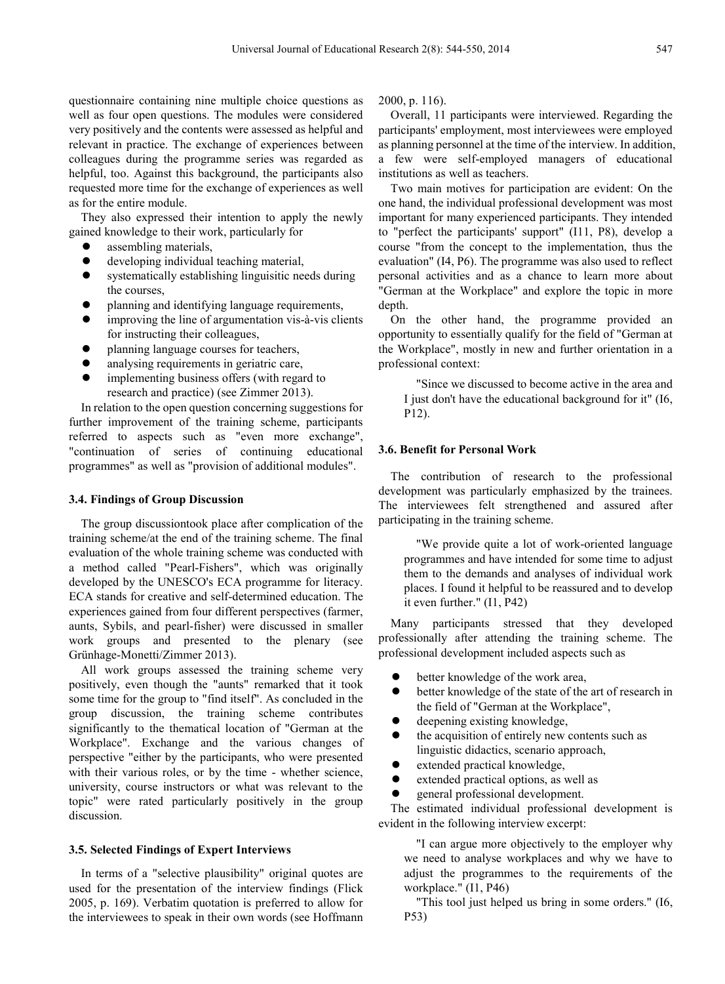questionnaire containing nine multiple choice questions as well as four open questions. The modules were considered very positively and the contents were assessed as helpful and relevant in practice. The exchange of experiences between colleagues during the programme series was regarded as helpful, too. Against this background, the participants also requested more time for the exchange of experiences as well as for the entire module.

They also expressed their intention to apply the newly gained knowledge to their work, particularly for

- assembling materials,
- developing individual teaching material,
- systematically establishing linguisitic needs during the courses,
- planning and identifying language requirements,
- improving the line of argumentation vis-à-vis clients for instructing their colleagues,
- planning language courses for teachers,
- analysing requirements in geriatric care,
- implementing business offers (with regard to research and practice) (see Zimmer 2013).

In relation to the open question concerning suggestions for further improvement of the training scheme, participants referred to aspects such as "even more exchange", "continuation of series of continuing educational programmes" as well as "provision of additional modules".

#### **3.4. Findings of Group Discussion**

The group discussiontook place after complication of the training scheme/at the end of the training scheme. The final evaluation of the whole training scheme was conducted with a method called "Pearl-Fishers", which was originally developed by the UNESCO's ECA programme for literacy. ECA stands for creative and self-determined education. The experiences gained from four different perspectives (farmer, aunts, Sybils, and pearl-fisher) were discussed in smaller work groups and presented to the plenary (see Grünhage-Monetti/Zimmer 2013).

All work groups assessed the training scheme very positively, even though the "aunts" remarked that it took some time for the group to "find itself". As concluded in the group discussion, the training scheme contributes significantly to the thematical location of "German at the Workplace". Exchange and the various changes of perspective "either by the participants, who were presented with their various roles, or by the time - whether science, university, course instructors or what was relevant to the topic" were rated particularly positively in the group discussion.

#### **3.5. Selected Findings of Expert Interviews**

In terms of a "selective plausibility" original quotes are used for the presentation of the interview findings (Flick 2005, p. 169). Verbatim quotation is preferred to allow for the interviewees to speak in their own words (see Hoffmann 2000, p. 116).

Overall, 11 participants were interviewed. Regarding the participants' employment, most interviewees were employed as planning personnel at the time of the interview. In addition, a few were self-employed managers of educational institutions as well as teachers.

Two main motives for participation are evident: On the one hand, the individual professional development was most important for many experienced participants. They intended to "perfect the participants' support" (I11, P8), develop a course "from the concept to the implementation, thus the evaluation" (I4, P6). The programme was also used to reflect personal activities and as a chance to learn more about "German at the Workplace" and explore the topic in more depth.

On the other hand, the programme provided an opportunity to essentially qualify for the field of "German at the Workplace", mostly in new and further orientation in a professional context:

"Since we discussed to become active in the area and I just don't have the educational background for it" (I6, P12).

#### **3.6. Benefit for Personal Work**

The contribution of research to the professional development was particularly emphasized by the trainees. The interviewees felt strengthened and assured after participating in the training scheme.

"We provide quite a lot of work-oriented language programmes and have intended for some time to adjust them to the demands and analyses of individual work places. I found it helpful to be reassured and to develop it even further." (I1, P42)

Many participants stressed that they developed professionally after attending the training scheme. The professional development included aspects such as

- better knowledge of the work area,
- better knowledge of the state of the art of research in the field of "German at the Workplace",
- deepening existing knowledge,
- the acquisition of entirely new contents such as linguistic didactics, scenario approach,
- extended practical knowledge,
- extended practical options, as well as
- general professional development.

The estimated individual professional development is evident in the following interview excerpt:

"I can argue more objectively to the employer why we need to analyse workplaces and why we have to adjust the programmes to the requirements of the workplace." (I1, P46)

"This tool just helped us bring in some orders." (I6, P53)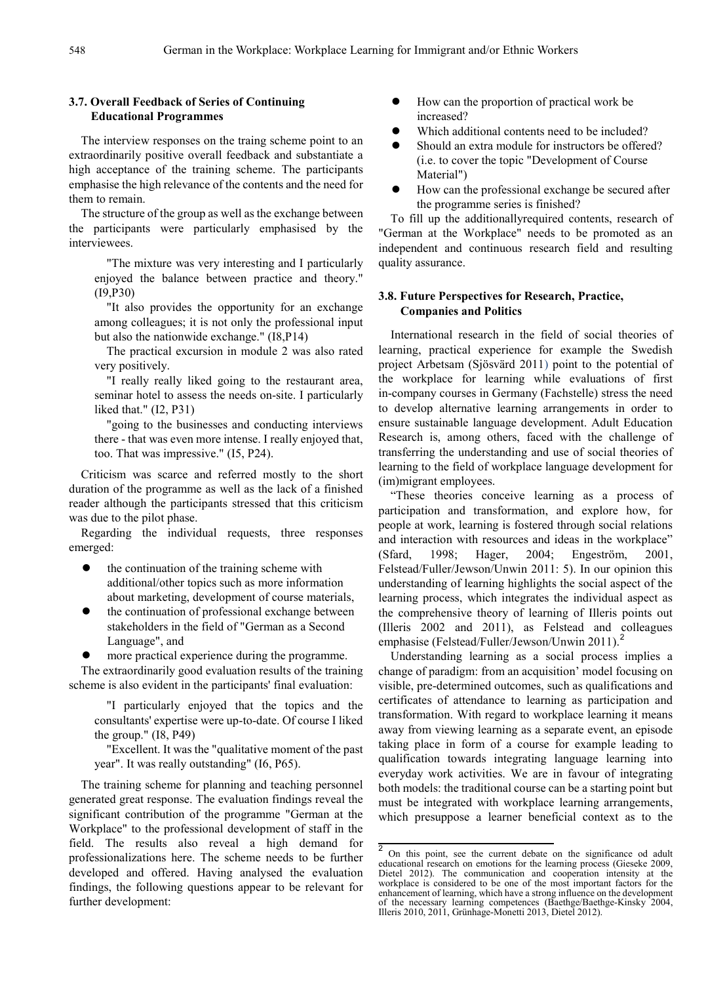#### **3.7. Overall Feedback of Series of Continuing Educational Programmes**

The interview responses on the traing scheme point to an extraordinarily positive overall feedback and substantiate a high acceptance of the training scheme. The participants emphasise the high relevance of the contents and the need for them to remain.

The structure of the group as well as the exchange between the participants were particularly emphasised by the interviewees.

"The mixture was very interesting and I particularly enjoyed the balance between practice and theory." (I9,P30)

"It also provides the opportunity for an exchange among colleagues; it is not only the professional input but also the nationwide exchange." (I8,P14)

The practical excursion in module 2 was also rated very positively.

"I really really liked going to the restaurant area, seminar hotel to assess the needs on-site. I particularly liked that." (I2, P31)

"going to the businesses and conducting interviews there - that was even more intense. I really enjoyed that, too. That was impressive." (I5, P24).

Criticism was scarce and referred mostly to the short duration of the programme as well as the lack of a finished reader although the participants stressed that this criticism was due to the pilot phase.

Regarding the individual requests, three responses emerged:

- $\bullet$  the continuation of the training scheme with additional/other topics such as more information about marketing, development of course materials,
- the continuation of professional exchange between stakeholders in the field of "German as a Second Language", and

more practical experience during the programme.

The extraordinarily good evaluation results of the training scheme is also evident in the participants' final evaluation:

"I particularly enjoyed that the topics and the consultants' expertise were up-to-date. Of course I liked the group." (I8, P49)

"Excellent. It was the "qualitative moment of the past year". It was really outstanding" (I6, P65).

<span id="page-4-0"></span>The training scheme for planning and teaching personnel generated great response. The evaluation findings reveal the significant contribution of the programme "German at the Workplace" to the professional development of staff in the field. The results also reveal a high demand for professionalizations here. The scheme needs to be further developed and offered. Having analysed the evaluation findings, the following questions appear to be relevant for further development:

- How can the proportion of practical work be increased?
- Which additional contents need to be included?
- Should an extra module for instructors be offered? (i.e. to cover the topic "Development of Course Material")
- How can the professional exchange be secured after the programme series is finished?

To fill up the additionallyrequired contents, research of "German at the Workplace" needs to be promoted as an independent and continuous research field and resulting quality assurance.

#### **3.8. Future Perspectives for Research, Practice, Companies and Politics**

International research in the field of social theories of learning, practical experience for example the Swedish project Arbetsam (Sjösvärd 2011) point to the potential of the workplace for learning while evaluations of first in-company courses in Germany (Fachstelle) stress the need to develop alternative learning arrangements in order to ensure sustainable language development. Adult Education Research is, among others, faced with the challenge of transferring the understanding and use of social theories of learning to the field of workplace language development for (im)migrant employees.

"These theories conceive learning as a process of participation and transformation, and explore how, for people at work, learning is fostered through social relations and interaction with resources and ideas in the workplace" (Sfard, 1998; Hager, 2004; Engeström, 2001, Felstead/Fuller/Jewson/Unwin 2011: 5). In our opinion this understanding of learning highlights the social aspect of the learning process, which integrates the individual aspect as the comprehensive theory of learning of Illeris points out (Illeris 2002 and 2011), as Felstead and colleagues emphasise (Felstead/Fuller/Jewson/Unwin [2](#page-4-0)011).<sup>2</sup>

Understanding learning as a social process implies a change of paradigm: from an acquisition' model focusing on visible, pre-determined outcomes, such as qualifications and certificates of attendance to learning as participation and transformation. With regard to workplace learning it means away from viewing learning as a separate event, an episode taking place in form of a course for example leading to qualification towards integrating language learning into everyday work activities. We are in favour of integrating both models: the traditional course can be a starting point but must be integrated with workplace learning arrangements, which presuppose a learner beneficial context as to the

 $\overline{2}$  On this point, see the current debate on the significance od adult educational research on emotions for the learning process (Gieseke 2009, Dietel 2012). The communication and cooperation intensity at the workplace is considered to be one of the most important factors for the enhancement of learning, which have a strong influence on the development of the necessary learning competences (Baethge/Baethge-Kinsky 2004, Illeris 2010, 2011, Grünhage-Monetti 2013, Dietel 2012).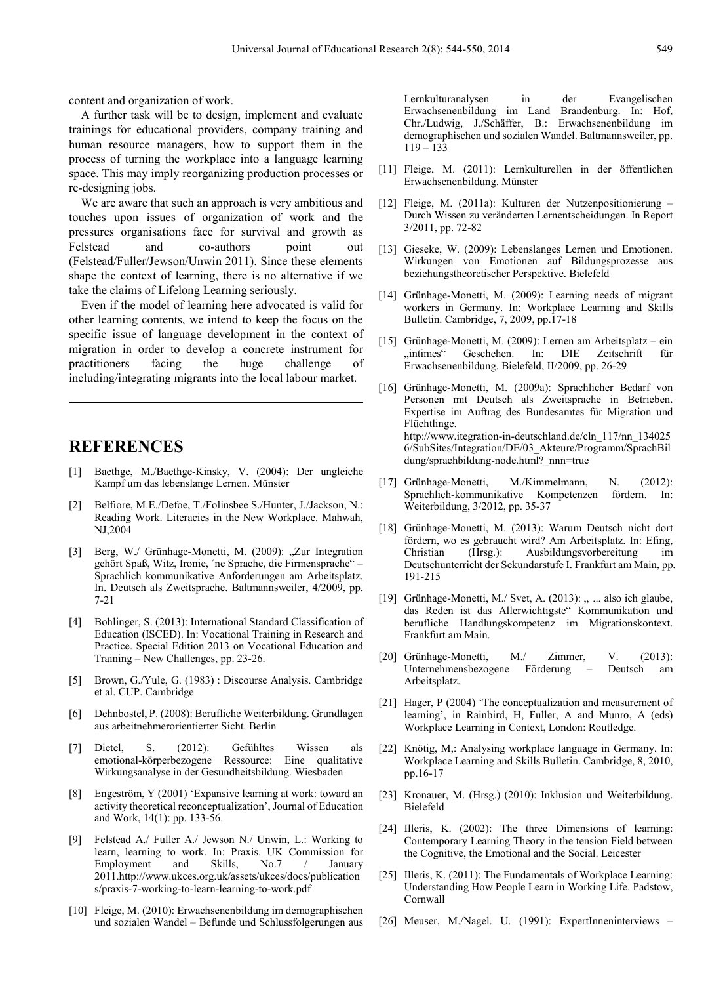content and organization of work.

A further task will be to design, implement and evaluate trainings for educational providers, company training and human resource managers, how to support them in the process of turning the workplace into a language learning space. This may imply reorganizing production processes or re-designing jobs.

We are aware that such an approach is very ambitious and touches upon issues of organization of work and the pressures organisations face for survival and growth as Felstead and co-authors point out (Felstead/Fuller/Jewson/Unwin 2011). Since these elements shape the context of learning, there is no alternative if we take the claims of Lifelong Learning seriously.

Even if the model of learning here advocated is valid for other learning contents, we intend to keep the focus on the specific issue of language development in the context of migration in order to develop a concrete instrument for practitioners facing the huge challenge of including/integrating migrants into the local labour market.

## **REFERENCES**

- [1] Baethge, M./Baethge-Kinsky, V. (2004): Der ungleiche Kampf um das lebenslange Lernen. Münster
- [2] Belfiore, M.E./Defoe, T./Folinsbee S./Hunter, J./Jackson, N.: Reading Work. Literacies in the New Workplace. Mahwah, NJ,2004
- [3] Berg, W./ Grünhage-Monetti, M. (2009): "Zur Integration gehört Spaß, Witz, Ironie, ´ne Sprache, die Firmensprache" – Sprachlich kommunikative Anforderungen am Arbeitsplatz. In. Deutsch als Zweitsprache. Baltmannsweiler, 4/2009, pp. 7-21
- [4] Bohlinger, S. (2013): International Standard Classification of Education (ISCED). In: Vocational Training in Research and Practice. Special Edition 2013 on Vocational Education and Training – New Challenges, pp. 23-26.
- [5] Brown, G./Yule, G. (1983) : Discourse Analysis. Cambridge et al. CUP. Cambridge
- [6] Dehnbostel, P. (2008): Berufliche Weiterbildung. Grundlagen aus arbeitnehmerorientierter Sicht. Berlin
- [7] Dietel, S. (2012): Gefühltes Wissen als emotional-körperbezogene Ressource: Eine qualitative Wirkungsanalyse in der Gesundheitsbildung. Wiesbaden
- [8] Engeström, Y (2001) 'Expansive learning at work: toward an activity theoretical reconceptualization', Journal of Education and Work, 14(1): pp. 133-56.
- [9] Felstead A./ Fuller A./ Jewson N./ Unwin, L.: Working to learn, learning to work. In: Praxis. UK Commission for Employment and Skills, No.7 / January 2011.http://www.ukces.org.uk/assets/ukces/docs/publication s/praxis-7-working-to-learn-learning-to-work.pdf
- [10] Fleige, M. (2010): Erwachsenenbildung im demographischen und sozialen Wandel – Befunde und Schlussfolgerungen aus

Lernkulturanalysen in der Evangelischen Erwachsenenbildung im Land Brandenburg. In: Hof, Chr./Ludwig, J./Schäffer, B.: Erwachsenenbildung im demographischen und sozialen Wandel. Baltmannsweiler, pp. 119 – 133

- [11] Fleige, M. (2011): Lernkulturellen in der öffentlichen Erwachsenenbildung. Münster
- [12] Fleige, M. (2011a): Kulturen der Nutzenpositionierung Durch Wissen zu veränderten Lernentscheidungen. In Report 3/2011, pp. 72-82
- [13] Gieseke, W. (2009): Lebenslanges Lernen und Emotionen. Wirkungen von Emotionen auf Bildungsprozesse aus beziehungstheoretischer Perspektive. Bielefeld
- [14] Grünhage-Monetti, M. (2009): Learning needs of migrant workers in Germany. In: Workplace Learning and Skills Bulletin. Cambridge, 7, 2009, pp.17-18
- [15] Grünhage-Monetti, M. (2009): Lernen am Arbeitsplatz ein "intimes" Geschehen. In: DIE Zeitschrift für Erwachsenenbildung. Bielefeld, II/2009, pp. 26-29
- [16] Grünhage-Monetti, M. (2009a): Sprachlicher Bedarf von Personen mit Deutsch als Zweitsprache in Betrieben. Expertise im Auftrag des Bundesamtes für Migration und Flüchtlinge. http://www.itegration-in-deutschland.de/cln\_117/nn\_134025 6/SubSites/Integration/DE/03\_Akteure/Programm/SprachBil dung/sprachbildung-node.html? nnn=true
- [17] Grünhage-Monetti, M./Kimmelmann, N. (2012): Sprachlich-kommunikative Kompetenzen fördern. In: Weiterbildung, 3/2012, pp. 35-37
- [18] Grünhage-Monetti, M. (2013): Warum Deutsch nicht dort fördern, wo es gebraucht wird? Am Arbeitsplatz. In: Efing, Christian (Hrsg.): Ausbildungsvorbereitung im Deutschunterricht der Sekundarstufe I. Frankfurt am Main, pp. 191-215
- [19] Grünhage-Monetti, M./ Svet, A. (2013): ,, ... also ich glaube, das Reden ist das Allerwichtigste" Kommunikation und berufliche Handlungskompetenz im Migrationskontext. Frankfurt am Main.
- [20] Grünhage-Monetti, M./ Zimmer, V. (2013): Unternehmensbezogene Förderung – Deutsch am Arbeitsplatz.
- [21] Hager, P (2004) 'The conceptualization and measurement of learning', in Rainbird, H, Fuller, A and Munro, A (eds) Workplace Learning in Context, London: Routledge.
- [22] Knötig, M,: Analysing workplace language in Germany. In: Workplace Learning and Skills Bulletin. Cambridge, 8, 2010, pp.16-17
- [23] Kronauer, M. (Hrsg.) (2010): Inklusion und Weiterbildung. Bielefeld
- [24] Illeris, K. (2002): The three Dimensions of learning: Contemporary Learning Theory in the tension Field between the Cognitive, the Emotional and the Social. Leicester
- [25] Illeris, K. (2011): The Fundamentals of Workplace Learning: Understanding How People Learn in Working Life. Padstow, Cornwall
- [26] Meuser, M./Nagel. U. (1991): ExpertInneninterviews –